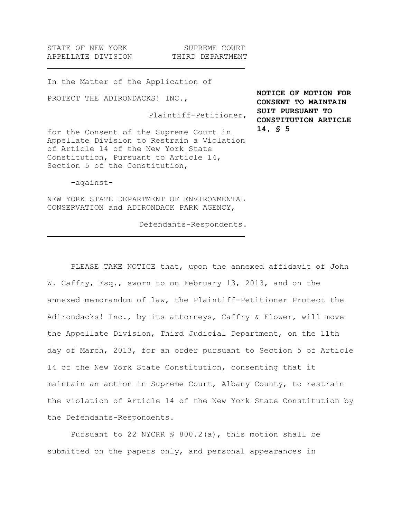STATE OF NEW YORK SUPREME COURT APPELLATE DIVISION THIRD DEPARTMENT

In the Matter of the Application of

PROTECT THE ADIRONDACKS! INC.,

Plaintiff-Petitioner,

for the Consent of the Supreme Court in Appellate Division to Restrain a Violation of Article 14 of the New York State Constitution, Pursuant to Article 14, Section 5 of the Constitution,

**NOTICE OF MOTION FOR CONSENT TO MAINTAIN SUIT PURSUANT TO CONSTITUTION ARTICLE 14, § 5**

-against-

NEW YORK STATE DEPARTMENT OF ENVIRONMENTAL CONSERVATION and ADIRONDACK PARK AGENCY,

Defendants-Respondents.

PLEASE TAKE NOTICE that, upon the annexed affidavit of John W. Caffry, Esq., sworn to on February 13, 2013, and on the annexed memorandum of law, the Plaintiff-Petitioner Protect the Adirondacks! Inc., by its attorneys, Caffry & Flower, will move the Appellate Division, Third Judicial Department, on the 11th day of March, 2013, for an order pursuant to Section 5 of Article 14 of the New York State Constitution, consenting that it maintain an action in Supreme Court, Albany County, to restrain the violation of Article 14 of the New York State Constitution by the Defendants-Respondents.

Pursuant to 22 NYCRR  $\frac{6}{5}$  800.2(a), this motion shall be submitted on the papers only, and personal appearances in